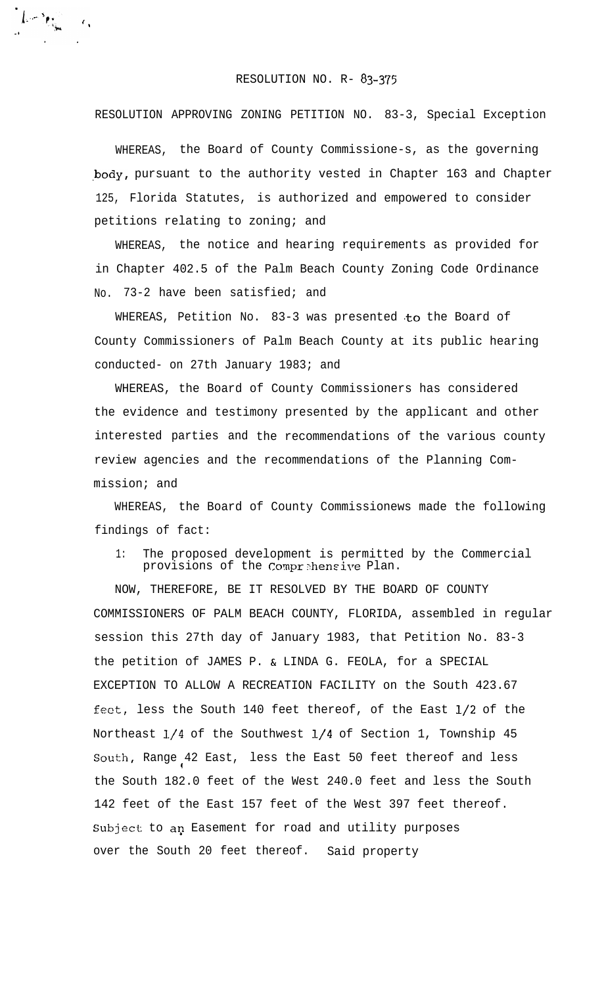## RESOLUTION NO. R- 83-375

 $\int_{\Omega} \left| \int_{\Omega} \left| \nabla \phi \right| \right|_{\mathcal{H}^{2}}^{2} d\mathcal{H}^{2} \left| \int_{\Omega} \phi \right|_{\mathcal{H}^{2}} d\mathcal{H}^{2} \left| \int_{\Omega} \phi \right|_{\mathcal{H}^{2}}^{2} d\mathcal{H}^{2} \left| \int_{\Omega} \phi \right|_{\mathcal{H}^{2}}^{2} d\mathcal{H}^{2} \left| \int_{\Omega} \phi \right|_{\mathcal{H}^{2}}^{2} d\mathcal{H}^{2} \left| \int_{\Omega} \phi \right|_{\mathcal{H}^{$ 

RESOLUTION APPROVING ZONING PETITION NO. 83-3, Special Exception

WHEREAS, the Board of County Commissione-s, as the governing body, pursuant to the authority vested in Chapter 163 and Chapter 125, Florida Statutes, is authorized and empowered to consider petitions relating to zoning; and

WHEREAS, the notice and hearing requirements as provided for in Chapter 402.5 of the Palm Beach County Zoning Code Ordinance No. 73-2 have been satisfied; and

WHEREAS, Petition No. 83-3 was presented to the Board of County Commissioners of Palm Beach County at its public hearing conducted- on 27th January 1983; and

WHEREAS, the Board of County Commissioners has considered the evidence and testimony presented by the applicant and other interested parties and the recommendations of the various county review agencies and the recommendations of the Planning Commission; and

WHEREAS, the Board of County Commissionews made the following findings of fact:

1: The proposed development is permitted by the Commercial provisions of the Comprehensive Plan.

NOW, THEREFORE, BE IT RESOLVED BY THE BOARD OF COUNTY COMMISSIONERS OF PALM BEACH COUNTY, FLORIDA, assembled in regular session this 27th day of January 1983, that Petition No. 83-3 the petition of JAMES P. & LINDA G. FEOLA, for a SPECIAL EXCEPTION TO ALLOW A RECREATION FACILITY on the South 423.67 feat, less the South 140 feet thereof, of the East l/2 of the Northeast l/4 of the Southwest l/4 of Section 1, Township 45 South, Range 42 East, less the East 50 feet thereof and less 1 the South 182.0 feet of the West 240.0 feet and less the South 142 feet of the East 157 feet of the West 397 feet thereof. Subject to an Easement for road and utility purposes over the South 20 feet thereof. Said property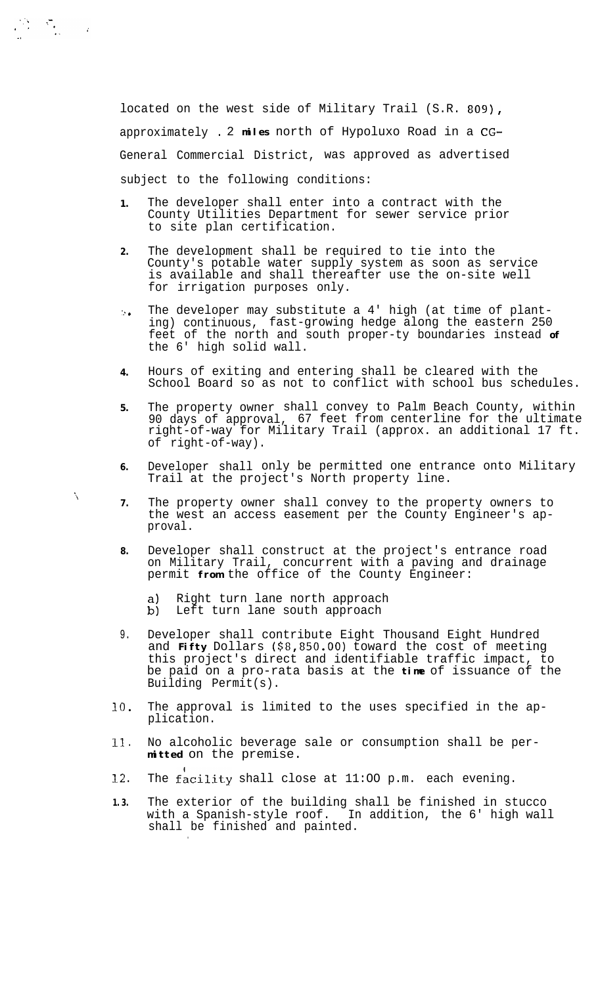located on the west side of Military Trail (S.R. 809), approximately . 2 **miles** north of Hypoluxo Road in a CG-General Commercial District, was approved as advertised subject to the following conditions:

- **1.** The developer shall enter into a contract with the County Utilities Department for sewer service prior to site plan certification.
- **2.** The development shall be required to tie into the County's potable water supply system as soon as service is available and shall thereafter use the on-site well for irrigation purposes only.
- $\mathcal{L}$ The developer may substitute a 4' high (at time of planting) continuous, fast-growing hedge along the eastern 250 feet of the north and south proper-ty boundaries instead **of** the 6' high solid wall.
- **4.** Hours of exiting and entering shall be cleared with the School Board so as not to conflict with school bus schedules.
- **5.** The property owner shall convey to Palm Beach County, within 90 days of approval, 67 feet from centerline for the ultimate right-of-way for Military Trail (approx. an additional 17 ft. of right-of-way).
- **6.** Developer shall only be permitted one entrance onto Military Trail at the project's North property line.
- **7.** The property owner shall convey to the property owners to the west an access easement per the County Engineer's approval.
- **8.** Developer shall construct at the project's entrance road on Military Trail, concurrent with a paving and drainage permit **from** the office of the County Engineer:
	- a) Right turn lane north approach<br>b) Left turn lane south approach
	- Left turn lane south approach

.

'i

 $\label{eq:2.1} \frac{1}{2}\sum_{i=1}^{N} \frac{1}{2} \sum_{i=1}^{N} \frac{1}{2} \sum_{i=1}^{N} \frac{1}{2} \sum_{i=1}^{N} \frac{1}{2} \sum_{i=1}^{N} \frac{1}{2} \sum_{i=1}^{N} \frac{1}{2} \sum_{i=1}^{N} \frac{1}{2} \sum_{i=1}^{N} \frac{1}{2} \sum_{i=1}^{N} \frac{1}{2} \sum_{i=1}^{N} \frac{1}{2} \sum_{i=1}^{N} \frac{1}{2} \sum_{i=1}^{N} \frac{1}{2} \$ 

- 9. Developer shall contribute Eight Thousand Eight Hundred and **Fifty** Dollars (\$8,850.00) toward the cost of meeting this project's direct and identifiable traffic impact, to be paid on a pro-rata basis at the **time** of issuance of the Building Permit(s).
- 10. The approval is limited to the uses specified in the application.
- 11 . No alcoholic beverage sale or consumption shall be per**mitted** on the premise.
- **12 .** The facility shall close at  $11:00$  p.m. each evening.
- **1.3.** The exterior of the building shall be finished in stucco with a Spanish-style roof. In addition, the 6' high wall shall be finished and painted.